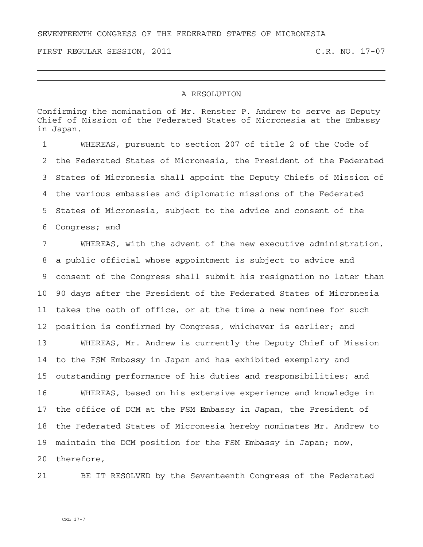SEVENTEENTH CONGRESS OF THE FEDERATED STATES OF MICRONESIA

FIRST REGULAR SESSION, 2011 C.R. NO. 17-07

## A RESOLUTION

Confirming the nomination of Mr. Renster P. Andrew to serve as Deputy Chief of Mission of the Federated States of Micronesia at the Embassy in Japan.

1 WHEREAS, pursuant to section 207 of title 2 of the Code of 2 the Federated States of Micronesia, the President of the Federated 3 States of Micronesia shall appoint the Deputy Chiefs of Mission of 4 the various embassies and diplomatic missions of the Federated 5 States of Micronesia, subject to the advice and consent of the 6 Congress; and

7 WHEREAS, with the advent of the new executive administration, 8 a public official whose appointment is subject to advice and 9 consent of the Congress shall submit his resignation no later than 10 90 days after the President of the Federated States of Micronesia 11 takes the oath of office, or at the time a new nominee for such 12 position is confirmed by Congress, whichever is earlier; and

13 WHEREAS, Mr. Andrew is currently the Deputy Chief of Mission 14 to the FSM Embassy in Japan and has exhibited exemplary and 15 outstanding performance of his duties and responsibilities; and

16 WHEREAS, based on his extensive experience and knowledge in 17 the office of DCM at the FSM Embassy in Japan, the President of 18 the Federated States of Micronesia hereby nominates Mr. Andrew to 19 maintain the DCM position for the FSM Embassy in Japan; now,

20 therefore,

21 BE IT RESOLVED by the Seventeenth Congress of the Federated